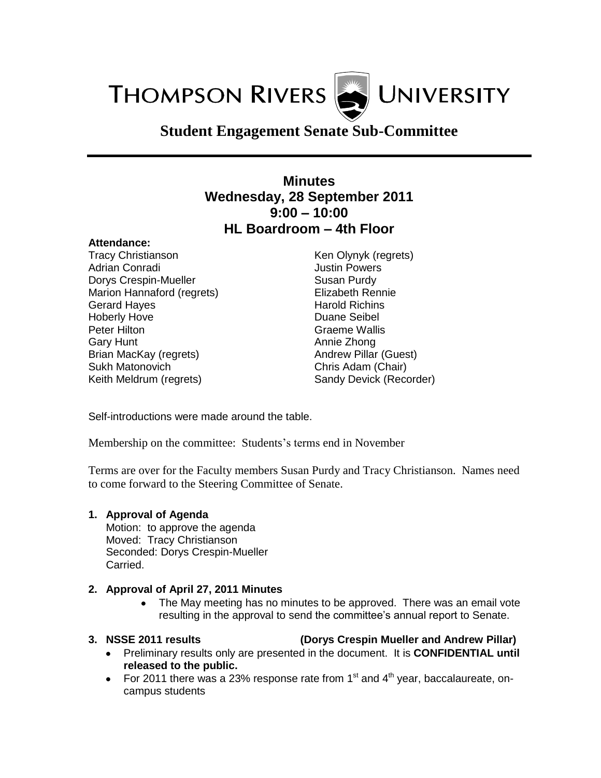**THOMPSON RIVERS WINDERSITY** 

# **Student Engagement Senate Sub-Committee**

# **Minutes Wednesday, 28 September 2011 9:00 – 10:00 HL Boardroom – 4th Floor**

### **Attendance:**

Tracy Christianson Adrian Conradi Dorys Crespin-Mueller Marion Hannaford (regrets) Gerard Hayes Hoberly Hove Peter Hilton Gary Hunt Brian MacKay (regrets) Sukh Matonovich Keith Meldrum (regrets)

Ken Olynyk (regrets) Justin Powers Susan Purdy Elizabeth Rennie Harold Richins Duane Seibel Graeme Wallis Annie Zhong Andrew Pillar (Guest) Chris Adam (Chair) Sandy Devick (Recorder)

Self-introductions were made around the table.

Membership on the committee: Students's terms end in November

Terms are over for the Faculty members Susan Purdy and Tracy Christianson. Names need to come forward to the Steering Committee of Senate.

### **1. Approval of Agenda**

Motion: to approve the agenda Moved: Tracy Christianson Seconded: Dorys Crespin-Mueller Carried.

### **2. Approval of April 27, 2011 Minutes**

• The May meeting has no minutes to be approved. There was an email vote resulting in the approval to send the committee's annual report to Senate.

- **3. NSSE 2011 results (Dorys Crespin Mueller and Andrew Pillar)**
	- Preliminary results only are presented in the document. It is **CONFIDENTIAL until released to the public.**
	- For 2011 there was a 23% response rate from 1<sup>st</sup> and 4<sup>th</sup> year, baccalaureate, oncampus students